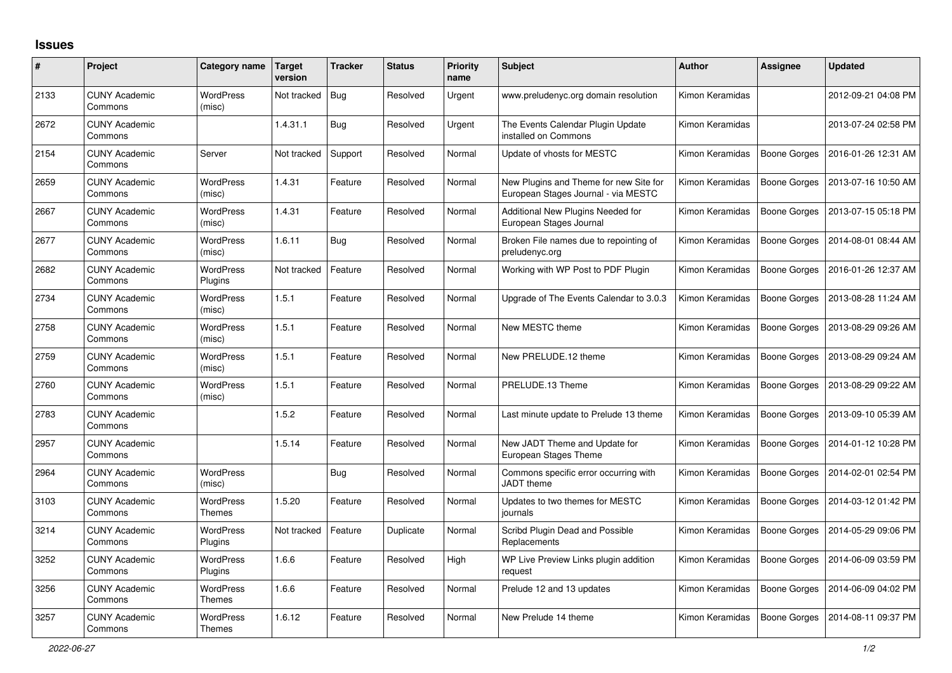## **Issues**

| $\#$ | Project                         | Category name                     | <b>Target</b><br>version | <b>Tracker</b> | <b>Status</b> | <b>Priority</b><br>name | <b>Subject</b>                                                                | <b>Author</b>   | <b>Assignee</b>     | <b>Updated</b>      |
|------|---------------------------------|-----------------------------------|--------------------------|----------------|---------------|-------------------------|-------------------------------------------------------------------------------|-----------------|---------------------|---------------------|
| 2133 | <b>CUNY Academic</b><br>Commons | <b>WordPress</b><br>(misc)        | Not tracked              | Bug            | Resolved      | Urgent                  | www.preludenyc.org domain resolution                                          | Kimon Keramidas |                     | 2012-09-21 04:08 PM |
| 2672 | <b>CUNY Academic</b><br>Commons |                                   | 1.4.31.1                 | Bug            | Resolved      | Urgent                  | The Events Calendar Plugin Update<br>installed on Commons                     | Kimon Keramidas |                     | 2013-07-24 02:58 PM |
| 2154 | <b>CUNY Academic</b><br>Commons | Server                            | Not tracked              | Support        | Resolved      | Normal                  | Update of vhosts for MESTC                                                    | Kimon Keramidas | Boone Gorges        | 2016-01-26 12:31 AM |
| 2659 | <b>CUNY Academic</b><br>Commons | <b>WordPress</b><br>(misc)        | 1.4.31                   | Feature        | Resolved      | Normal                  | New Plugins and Theme for new Site for<br>European Stages Journal - via MESTC | Kimon Keramidas | Boone Gorges        | 2013-07-16 10:50 AM |
| 2667 | <b>CUNY Academic</b><br>Commons | WordPress<br>(misc)               | 1.4.31                   | Feature        | Resolved      | Normal                  | Additional New Plugins Needed for<br>European Stages Journal                  | Kimon Keramidas | Boone Gorges        | 2013-07-15 05:18 PM |
| 2677 | <b>CUNY Academic</b><br>Commons | WordPress<br>(misc)               | 1.6.11                   | <b>Bug</b>     | Resolved      | Normal                  | Broken File names due to repointing of<br>preludenyc.org                      | Kimon Keramidas | <b>Boone Gorges</b> | 2014-08-01 08:44 AM |
| 2682 | <b>CUNY Academic</b><br>Commons | <b>WordPress</b><br>Plugins       | Not tracked              | Feature        | Resolved      | Normal                  | Working with WP Post to PDF Plugin                                            | Kimon Keramidas | Boone Gorges        | 2016-01-26 12:37 AM |
| 2734 | <b>CUNY Academic</b><br>Commons | WordPress<br>(misc)               | 1.5.1                    | Feature        | Resolved      | Normal                  | Upgrade of The Events Calendar to 3.0.3                                       | Kimon Keramidas | Boone Gorges        | 2013-08-28 11:24 AM |
| 2758 | <b>CUNY Academic</b><br>Commons | <b>WordPress</b><br>(misc)        | 1.5.1                    | Feature        | Resolved      | Normal                  | New MESTC theme                                                               | Kimon Keramidas | <b>Boone Gorges</b> | 2013-08-29 09:26 AM |
| 2759 | <b>CUNY Academic</b><br>Commons | WordPress<br>(misc)               | 1.5.1                    | Feature        | Resolved      | Normal                  | New PRELUDE.12 theme                                                          | Kimon Keramidas | Boone Gorges        | 2013-08-29 09:24 AM |
| 2760 | <b>CUNY Academic</b><br>Commons | <b>WordPress</b><br>(misc)        | 1.5.1                    | Feature        | Resolved      | Normal                  | PRELUDE.13 Theme                                                              | Kimon Keramidas | <b>Boone Gorges</b> | 2013-08-29 09:22 AM |
| 2783 | <b>CUNY Academic</b><br>Commons |                                   | 1.5.2                    | Feature        | Resolved      | Normal                  | Last minute update to Prelude 13 theme                                        | Kimon Keramidas | Boone Gorges        | 2013-09-10 05:39 AM |
| 2957 | <b>CUNY Academic</b><br>Commons |                                   | 1.5.14                   | Feature        | Resolved      | Normal                  | New JADT Theme and Update for<br>European Stages Theme                        | Kimon Keramidas | <b>Boone Gorges</b> | 2014-01-12 10:28 PM |
| 2964 | <b>CUNY Academic</b><br>Commons | WordPress<br>(misc)               |                          | Bug            | Resolved      | Normal                  | Commons specific error occurring with<br><b>JADT</b> theme                    | Kimon Keramidas | Boone Gorges        | 2014-02-01 02:54 PM |
| 3103 | <b>CUNY Academic</b><br>Commons | <b>WordPress</b><br><b>Themes</b> | 1.5.20                   | Feature        | Resolved      | Normal                  | Updates to two themes for MESTC<br>iournals                                   | Kimon Keramidas | <b>Boone Gorges</b> | 2014-03-12 01:42 PM |
| 3214 | <b>CUNY Academic</b><br>Commons | WordPress<br>Plugins              | Not tracked              | Feature        | Duplicate     | Normal                  | Scribd Plugin Dead and Possible<br>Replacements                               | Kimon Keramidas | Boone Gorges        | 2014-05-29 09:06 PM |
| 3252 | <b>CUNY Academic</b><br>Commons | <b>WordPress</b><br>Plugins       | 1.6.6                    | Feature        | Resolved      | High                    | WP Live Preview Links plugin addition<br>request                              | Kimon Keramidas | <b>Boone Gorges</b> | 2014-06-09 03:59 PM |
| 3256 | <b>CUNY Academic</b><br>Commons | <b>WordPress</b><br><b>Themes</b> | 1.6.6                    | Feature        | Resolved      | Normal                  | Prelude 12 and 13 updates                                                     | Kimon Keramidas | Boone Gorges        | 2014-06-09 04:02 PM |
| 3257 | <b>CUNY Academic</b><br>Commons | <b>WordPress</b><br><b>Themes</b> | 1.6.12                   | Feature        | Resolved      | Normal                  | New Prelude 14 theme                                                          | Kimon Keramidas | Boone Gorges        | 2014-08-11 09:37 PM |